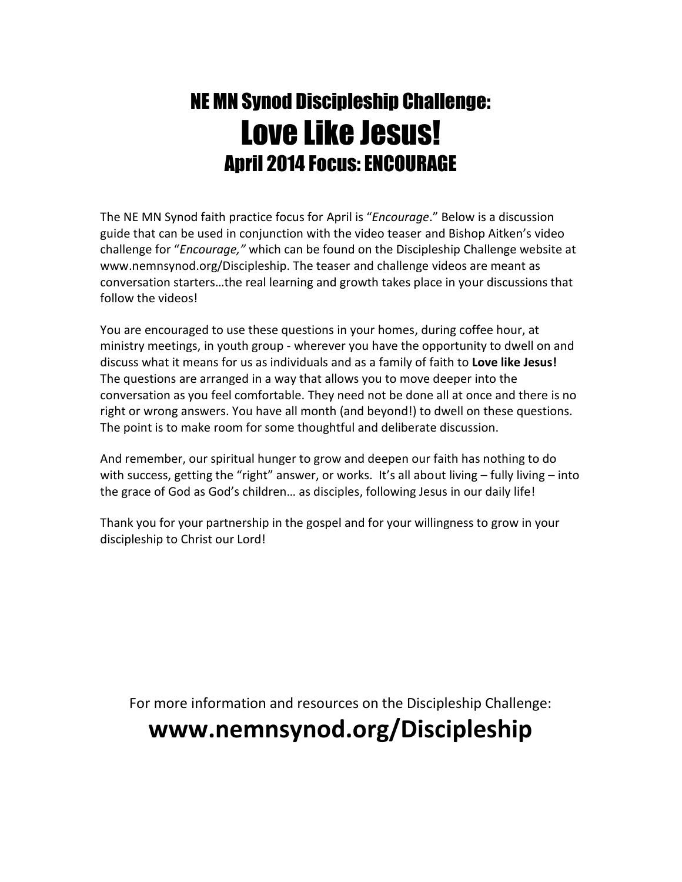# NE MN Synod Discipleship Challenge: Love Like Jesus! April 2014 Focus: ENCOURAGE

The NE MN Synod faith practice focus for April is "*Encourage*." Below is a discussion guide that can be used in conjunction with the video teaser and Bishop Aitken's video challenge for "*Encourage,"* which can be found on the Discipleship Challenge website at www.nemnsynod.org/Discipleship. The teaser and challenge videos are meant as conversation starters…the real learning and growth takes place in your discussions that follow the videos!

You are encouraged to use these questions in your homes, during coffee hour, at ministry meetings, in youth group - wherever you have the opportunity to dwell on and discuss what it means for us as individuals and as a family of faith to **Love like Jesus!** The questions are arranged in a way that allows you to move deeper into the conversation as you feel comfortable. They need not be done all at once and there is no right or wrong answers. You have all month (and beyond!) to dwell on these questions. The point is to make room for some thoughtful and deliberate discussion.

And remember, our spiritual hunger to grow and deepen our faith has nothing to do with success, getting the "right" answer, or works. It's all about living - fully living - into the grace of God as God's children… as disciples, following Jesus in our daily life!

Thank you for your partnership in the gospel and for your willingness to grow in your discipleship to Christ our Lord!

For more information and resources on the Discipleship Challenge:

## **www.nemnsynod.org/Discipleship**